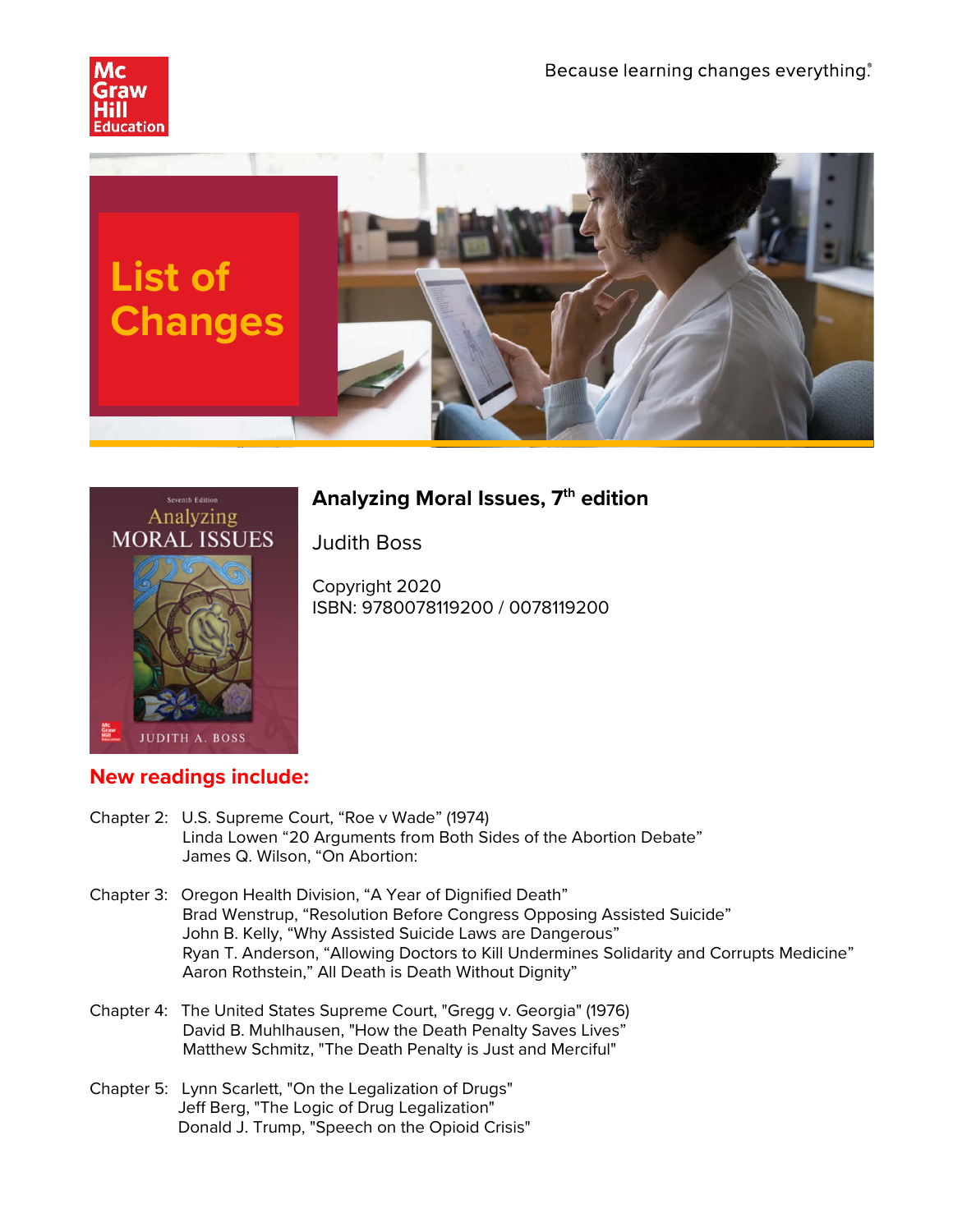





## **Analyzing Moral Issues, 7th edition**

Judith Boss

Copyright 2020 ISBN: 9780078119200 / 0078119200

## **New readings include:**

- Chapter 2: U.S. Supreme Court, "Roe v Wade" (1974) Linda Lowen "20 Arguments from Both Sides of the Abortion Debate" James Q. Wilson, "On Abortion:
- Chapter 3: Oregon Health Division, "A Year of Dignified Death" Brad Wenstrup, "Resolution Before Congress Opposing Assisted Suicide" John B. Kelly, "Why Assisted Suicide Laws are Dangerous" Ryan T. Anderson, "Allowing Doctors to Kill Undermines Solidarity and Corrupts Medicine" Aaron Rothstein," All Death is Death Without Dignity"
- Chapter 4: The United States Supreme Court, "Gregg v. Georgia" (1976) David B. Muhlhausen, "How the Death Penalty Saves Lives" Matthew Schmitz, "The Death Penalty is Just and Merciful"
- Chapter 5: Lynn Scarlett, "On the Legalization of Drugs" Jeff Berg, "The Logic of Drug Legalization" Donald J. Trump, "Speech on the Opioid Crisis"